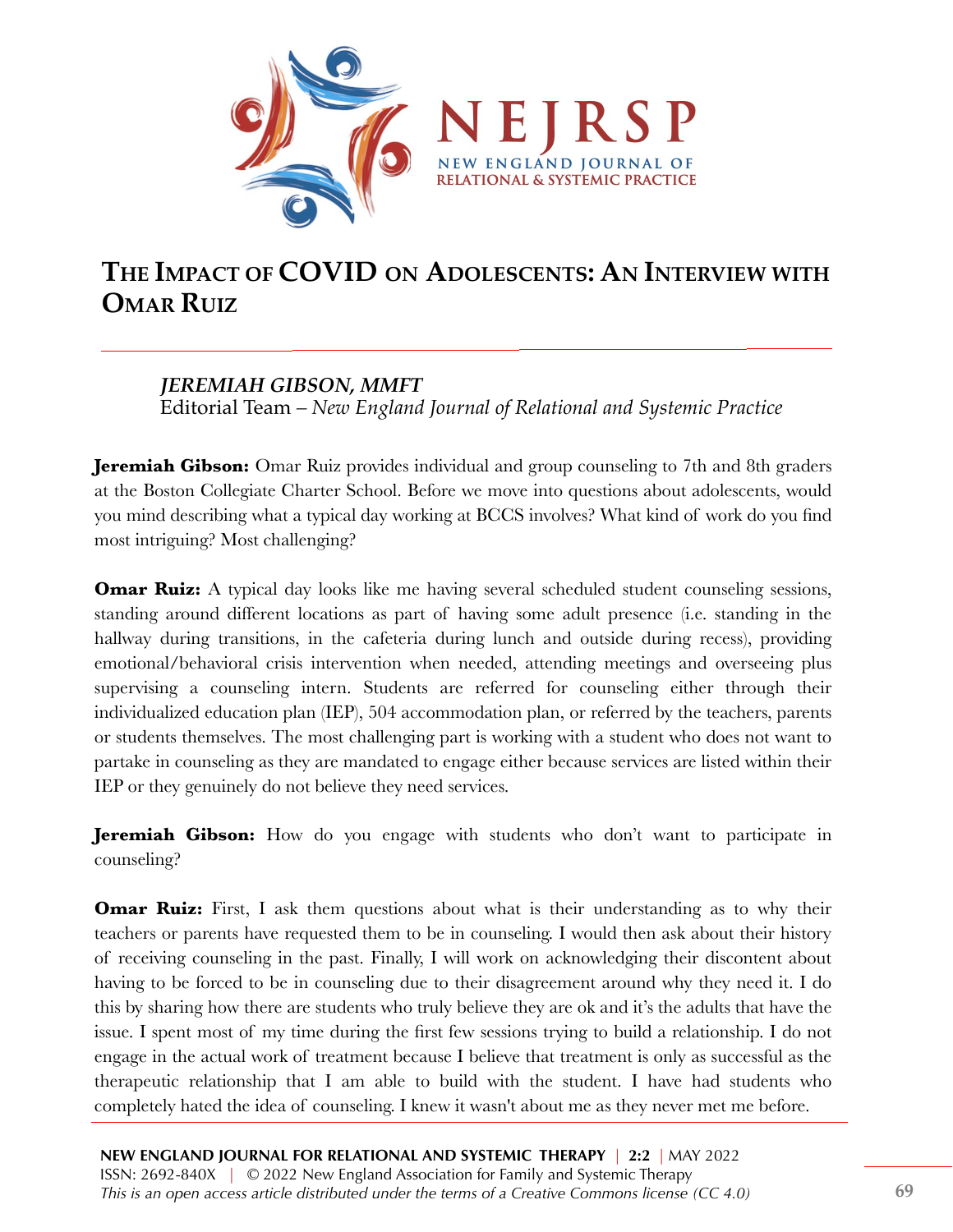

## **THE IMPACT OF COVID ON ADOLESCENTS: AN INTERVIEW WITH OMAR RUIZ**

## *JEREMIAH GIBSON, MMFT*

Editorial Team *– New England Journal of Relational and Systemic Practice*

**Jeremiah Gibson:** Omar Ruiz provides individual and group counseling to 7th and 8th graders at the Boston Collegiate Charter School. Before we move into questions about adolescents, would you mind describing what a typical day working at BCCS involves? What kind of work do you find most intriguing? Most challenging?

**Omar Ruiz:** A typical day looks like me having several scheduled student counseling sessions, standing around different locations as part of having some adult presence (i.e. standing in the hallway during transitions, in the cafeteria during lunch and outside during recess), providing emotional/behavioral crisis intervention when needed, attending meetings and overseeing plus supervising a counseling intern. Students are referred for counseling either through their individualized education plan (IEP), 504 accommodation plan, or referred by the teachers, parents or students themselves. The most challenging part is working with a student who does not want to partake in counseling as they are mandated to engage either because services are listed within their IEP or they genuinely do not believe they need services.

**Jeremiah Gibson:** How do you engage with students who don't want to participate in counseling?

**Omar Ruiz:** First, I ask them questions about what is their understanding as to why their teachers or parents have requested them to be in counseling. I would then ask about their history of receiving counseling in the past. Finally, I will work on acknowledging their discontent about having to be forced to be in counseling due to their disagreement around why they need it. I do this by sharing how there are students who truly believe they are ok and it's the adults that have the issue. I spent most of my time during the first few sessions trying to build a relationship. I do not engage in the actual work of treatment because I believe that treatment is only as successful as the therapeutic relationship that I am able to build with the student. I have had students who completely hated the idea of counseling. I knew it wasn't about me as they never met me before.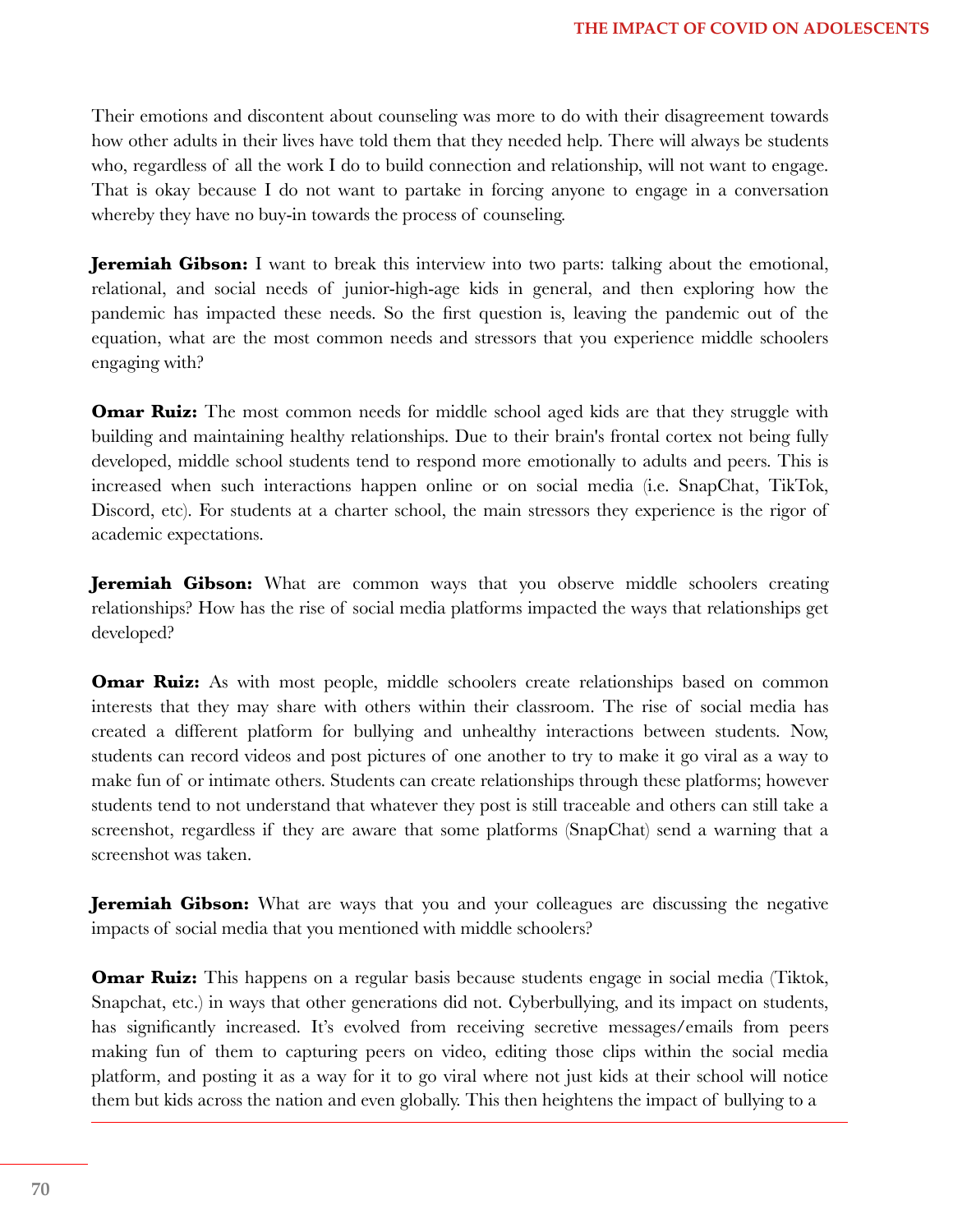Their emotions and discontent about counseling was more to do with their disagreement towards how other adults in their lives have told them that they needed help. There will always be students who, regardless of all the work I do to build connection and relationship, will not want to engage. That is okay because I do not want to partake in forcing anyone to engage in a conversation whereby they have no buy-in towards the process of counseling.

**Jeremiah Gibson:** I want to break this interview into two parts: talking about the emotional, relational, and social needs of junior-high-age kids in general, and then exploring how the pandemic has impacted these needs. So the first question is, leaving the pandemic out of the equation, what are the most common needs and stressors that you experience middle schoolers engaging with?

**Omar Ruiz:** The most common needs for middle school aged kids are that they struggle with building and maintaining healthy relationships. Due to their brain's frontal cortex not being fully developed, middle school students tend to respond more emotionally to adults and peers. This is increased when such interactions happen online or on social media (i.e. SnapChat, TikTok, Discord, etc). For students at a charter school, the main stressors they experience is the rigor of academic expectations.

**Jeremiah Gibson:** What are common ways that you observe middle schoolers creating relationships? How has the rise of social media platforms impacted the ways that relationships get developed?

**Omar Ruiz:** As with most people, middle schoolers create relationships based on common interests that they may share with others within their classroom. The rise of social media has created a different platform for bullying and unhealthy interactions between students. Now, students can record videos and post pictures of one another to try to make it go viral as a way to make fun of or intimate others. Students can create relationships through these platforms; however students tend to not understand that whatever they post is still traceable and others can still take a screenshot, regardless if they are aware that some platforms (SnapChat) send a warning that a screenshot was taken.

**Jeremiah Gibson:** What are ways that you and your colleagues are discussing the negative impacts of social media that you mentioned with middle schoolers?

**Omar Ruiz:** This happens on a regular basis because students engage in social media (Tiktok, Snapchat, etc.) in ways that other generations did not. Cyberbullying, and its impact on students, has significantly increased. It's evolved from receiving secretive messages/emails from peers making fun of them to capturing peers on video, editing those clips within the social media platform, and posting it as a way for it to go viral where not just kids at their school will notice them but kids across the nation and even globally. This then heightens the impact of bullying to a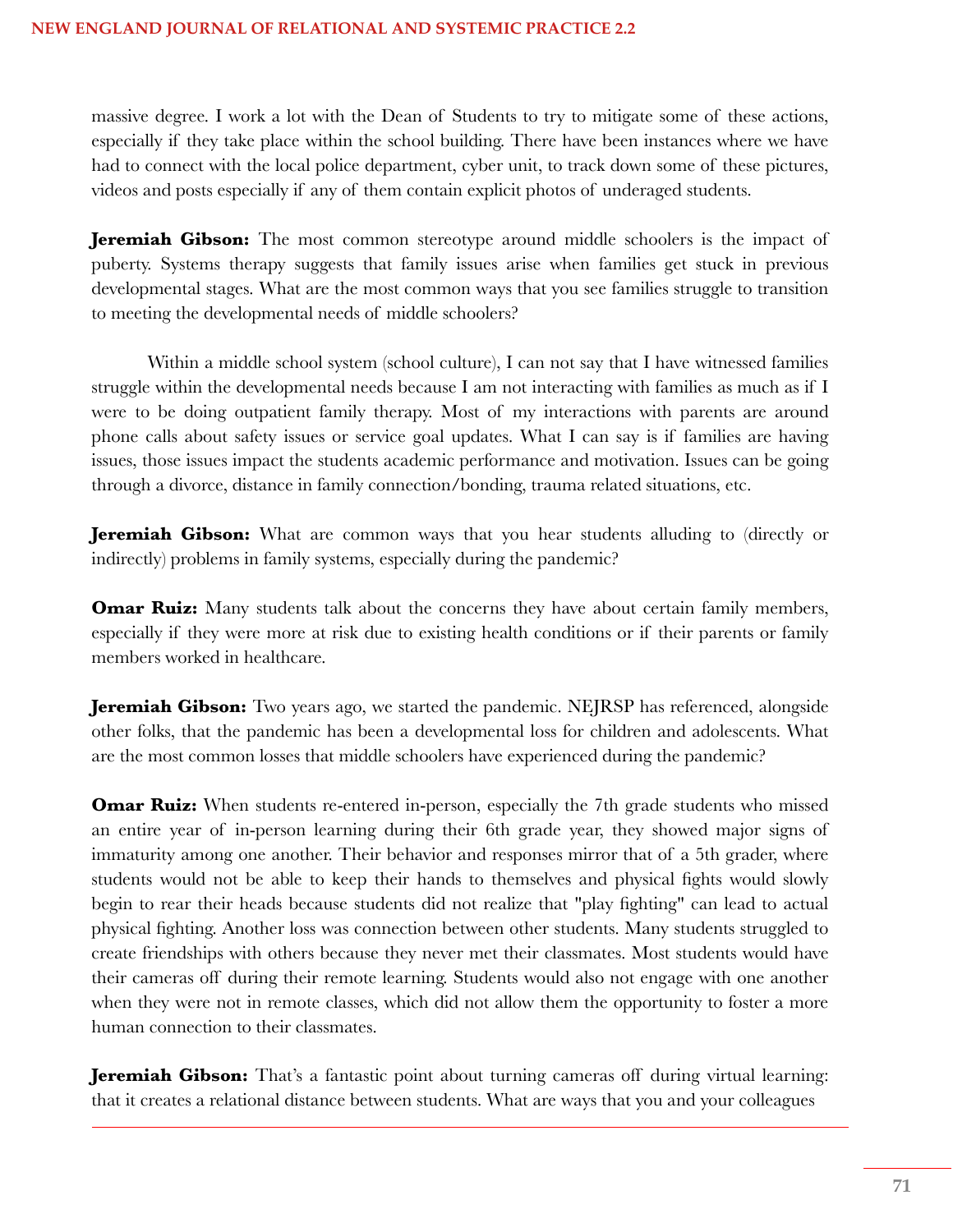massive degree. I work a lot with the Dean of Students to try to mitigate some of these actions, especially if they take place within the school building. There have been instances where we have had to connect with the local police department, cyber unit, to track down some of these pictures, videos and posts especially if any of them contain explicit photos of underaged students.

**Jeremiah Gibson:** The most common stereotype around middle schoolers is the impact of puberty. Systems therapy suggests that family issues arise when families get stuck in previous developmental stages. What are the most common ways that you see families struggle to transition to meeting the developmental needs of middle schoolers?

Within a middle school system (school culture), I can not say that I have witnessed families struggle within the developmental needs because I am not interacting with families as much as if I were to be doing outpatient family therapy. Most of my interactions with parents are around phone calls about safety issues or service goal updates. What I can say is if families are having issues, those issues impact the students academic performance and motivation. Issues can be going through a divorce, distance in family connection/bonding, trauma related situations, etc.

**Jeremiah Gibson:** What are common ways that you hear students alluding to (directly or indirectly) problems in family systems, especially during the pandemic?

**Omar Ruiz:** Many students talk about the concerns they have about certain family members, especially if they were more at risk due to existing health conditions or if their parents or family members worked in healthcare.

**Jeremiah Gibson:** Two years ago, we started the pandemic. NEJRSP has referenced, alongside other folks, that the pandemic has been a developmental loss for children and adolescents. What are the most common losses that middle schoolers have experienced during the pandemic?

**Omar Ruiz:** When students re-entered in-person, especially the 7th grade students who missed an entire year of in-person learning during their 6th grade year, they showed major signs of immaturity among one another. Their behavior and responses mirror that of a 5th grader, where students would not be able to keep their hands to themselves and physical fights would slowly begin to rear their heads because students did not realize that "play fighting" can lead to actual physical fighting. Another loss was connection between other students. Many students struggled to create friendships with others because they never met their classmates. Most students would have their cameras off during their remote learning. Students would also not engage with one another when they were not in remote classes, which did not allow them the opportunity to foster a more human connection to their classmates.

**Jeremiah Gibson:** That's a fantastic point about turning cameras off during virtual learning: that it creates a relational distance between students. What are ways that you and your colleagues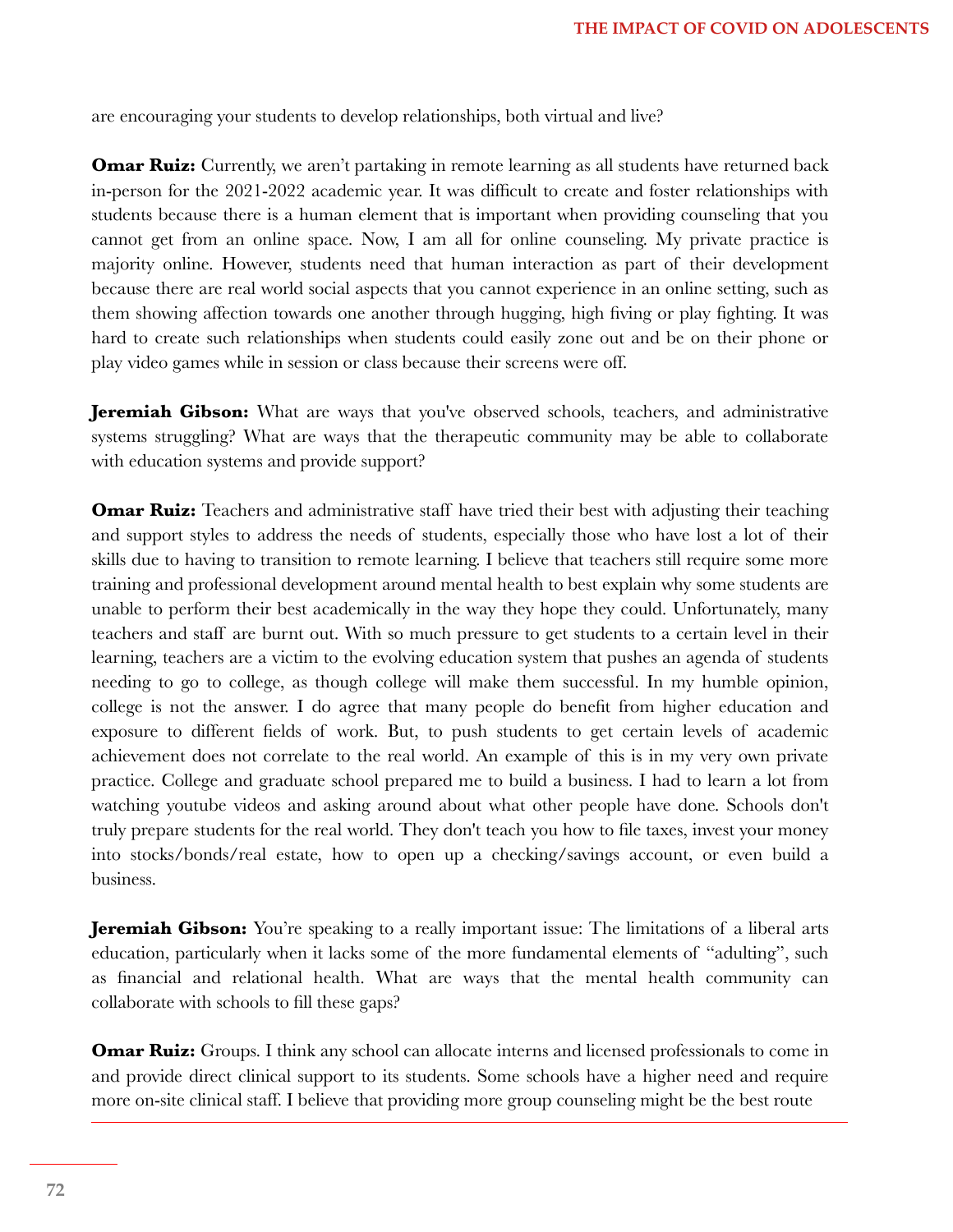are encouraging your students to develop relationships, both virtual and live?

**Omar Ruiz:** Currently, we aren't partaking in remote learning as all students have returned back in-person for the 2021-2022 academic year. It was difficult to create and foster relationships with students because there is a human element that is important when providing counseling that you cannot get from an online space. Now, I am all for online counseling. My private practice is majority online. However, students need that human interaction as part of their development because there are real world social aspects that you cannot experience in an online setting, such as them showing affection towards one another through hugging, high fiving or play fighting. It was hard to create such relationships when students could easily zone out and be on their phone or play video games while in session or class because their screens were off.

**Jeremiah Gibson:** What are ways that you've observed schools, teachers, and administrative systems struggling? What are ways that the therapeutic community may be able to collaborate with education systems and provide support?

**Omar Ruiz:** Teachers and administrative staff have tried their best with adjusting their teaching and support styles to address the needs of students, especially those who have lost a lot of their skills due to having to transition to remote learning. I believe that teachers still require some more training and professional development around mental health to best explain why some students are unable to perform their best academically in the way they hope they could. Unfortunately, many teachers and staff are burnt out. With so much pressure to get students to a certain level in their learning, teachers are a victim to the evolving education system that pushes an agenda of students needing to go to college, as though college will make them successful. In my humble opinion, college is not the answer. I do agree that many people do benefit from higher education and exposure to different fields of work. But, to push students to get certain levels of academic achievement does not correlate to the real world. An example of this is in my very own private practice. College and graduate school prepared me to build a business. I had to learn a lot from watching youtube videos and asking around about what other people have done. Schools don't truly prepare students for the real world. They don't teach you how to file taxes, invest your money into stocks/bonds/real estate, how to open up a checking/savings account, or even build a business.

**Jeremiah Gibson:** You're speaking to a really important issue: The limitations of a liberal arts education, particularly when it lacks some of the more fundamental elements of "adulting", such as financial and relational health. What are ways that the mental health community can collaborate with schools to fill these gaps?

**Omar Ruiz:** Groups. I think any school can allocate interns and licensed professionals to come in and provide direct clinical support to its students. Some schools have a higher need and require more on-site clinical staff. I believe that providing more group counseling might be the best route